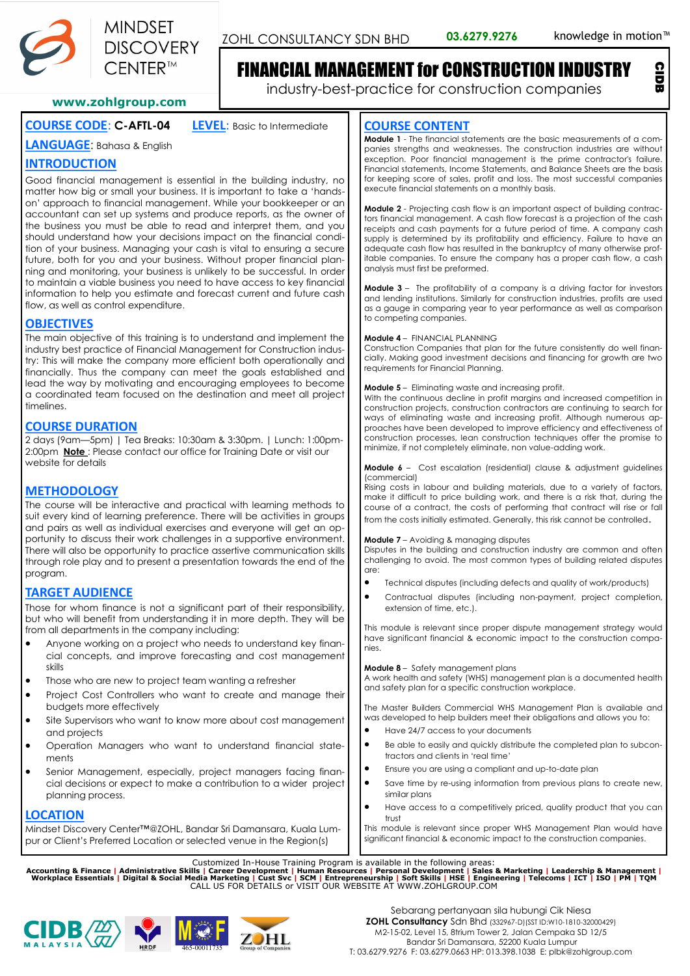

ZOHL CONSULTANCY SDN BHD 03.6279.9276 knowledge in motion<sup>™</sup>

CIDB

# FINANCIAL MANAGEMENT for CONSTRUCTION INDUSTRY

industry-best-practice for construction companies

**www.zohlgroup.com**

# **COURSE CODE**: **C-AFTL-04 LEVEL**: Basic to Intermediate

**LANGUAGE**: Bahasa & English

# **INTRODUCTION**

Good financial management is essential in the building industry, no matter how big or small your business. It is important to take a 'handson' approach to financial management. While your bookkeeper or an accountant can set up systems and produce reports, as the owner of the business you must be able to read and interpret them, and you should understand how your decisions impact on the financial condition of your business. Managing your cash is vital to ensuring a secure future, both for you and your business. Without proper financial planning and monitoring, your business is unlikely to be successful. In order to maintain a viable business you need to have access to key financial information to help you estimate and forecast current and future cash flow, as well as control expenditure.

# **OBJECTIVES**

The main objective of this training is to understand and implement the industry best practice of Financial Management for Construction industry: This will make the company more efficient both operationally and financially. Thus the company can meet the goals established and lead the way by motivating and encouraging employees to become a coordinated team focused on the destination and meet all project timelines.

# **COURSE DURATION**

2 days (9am—5pm) | Tea Breaks: 10:30am & 3:30pm. | Lunch: 1:00pm-2:00pm **Note** : Please contact our office for Training Date or visit our website for details

# **METHODOLOGY**

The course will be interactive and practical with learning methods to suit every kind of learning preference. There will be activities in groups and pairs as well as individual exercises and everyone will get an opportunity to discuss their work challenges in a supportive environment. There will also be opportunity to practice assertive communication skills through role play and to present a presentation towards the end of the program.

# **TARGET AUDIENCE**

Those for whom finance is not a significant part of their responsibility, but who will benefit from understanding it in more depth. They will be from all departments in the company including:

- Anyone working on a project who needs to understand key financial concepts, and improve forecasting and cost management skills
- Those who are new to project team wanting a refresher
- Project Cost Controllers who want to create and manage their budgets more effectively
- Site Supervisors who want to know more about cost management and projects
- Operation Managers who want to understand financial statements
- Senior Management, especially, project managers facing financial decisions or expect to make a contribution to a wider project planning process.

## **LOCATION**

Mindset Discovery Center™@ZOHL, Bandar Sri Damansara, Kuala Lumpur or Client's Preferred Location or selected venue in the Region(s)

## **COURSE CONTENT**

**Module 1** - The financial statements are the basic measurements of a companies strengths and weaknesses. The construction industries are without exception. Poor financial management is the prime contractor's failure. Financial statements, Income Statements, and Balance Sheets are the basis for keeping score of sales, profit and loss. The most successful companies execute financial statements on a monthly basis.

**Module 2** - Projecting cash flow is an important aspect of building contractors financial management. A cash flow forecast is a projection of the cash receipts and cash payments for a future period of time. A company cash supply is determined by its profitability and efficiency. Failure to have an adequate cash flow has resulted in the bankruptcy of many otherwise profitable companies. To ensure the company has a proper cash flow, a cash analysis must first be preformed.

**Module 3** – The profitability of a company is a driving factor for investors and lending institutions. Similarly for construction industries, profits are used as a gauge in comparing year to year performance as well as comparison to competing companies.

#### **Module 4** – FINANCIAL PLANNING

Construction Companies that plan for the future consistently do well financially. Making good investment decisions and financing for growth are two requirements for Financial Planning.

#### **Module 5** – Eliminating waste and increasing profit.

With the continuous decline in profit margins and increased competition in construction projects, construction contractors are continuing to search for ways of eliminating waste and increasing profit. Although numerous approaches have been developed to improve efficiency and effectiveness of construction processes, lean construction techniques offer the promise to minimize, if not completely eliminate, non value-adding work.

**Module 6** – Cost escalation (residential) clause & adjustment guidelines (commercial)

Rising costs in labour and building materials, due to a variety of factors, make it difficult to price building work, and there is a risk that, during the course of a contract, the costs of performing that contract will rise or fall from the costs initially estimated. Generally, this risk cannot be controlled.

#### **Module 7** – Avoiding & managing disputes

Disputes in the building and construction industry are common and often challenging to avoid. The most common types of building related disputes are:

- Technical disputes (including defects and quality of work/products)
- Contractual disputes (including non-payment, project completion, extension of time, etc.).

This module is relevant since proper dispute management strategy would have significant financial & economic impact to the construction companies.

**Module 8** – Safety management plans

A work health and safety (WHS) management plan is a documented health and safety plan for a specific construction workplace.

The Master Builders Commercial WHS Management Plan is available and was developed to help builders meet their obligations and allows you to:

- Have 24/7 access to your documents
- Be able to easily and quickly distribute the completed plan to subcontractors and clients in 'real time'
- Ensure you are using a compliant and up-to-date plan
- Save time by re-using information from previous plans to create new, similar plans
- Have access to a competitively priced, quality product that you can trust

This module is relevant since proper WHS Management Plan would have significant financial & economic impact to the construction companies.

Customized In-House Training Program is available in the following areas:<br>Accounting & Finance | Administrative Skills | Career Development | Human Resources | Personal Development | Sales & Marketing | Leadership & Manage







Sebarang pertanyaan sila hubungi Cik Niesa **ZOHL Consultancy** Sdn Bhd (332967-D)(SST ID:W10-1810-32000429) M2-15-02, Level 15, 8trium Tower 2, Jalan Cempaka SD 12/5 Bandar Sri Damansara, 52200 Kuala Lumpur T: 03.6279.9276 F: 03.6279.0663 HP: 013.398.1038 E: plbk@zohlgroup.com